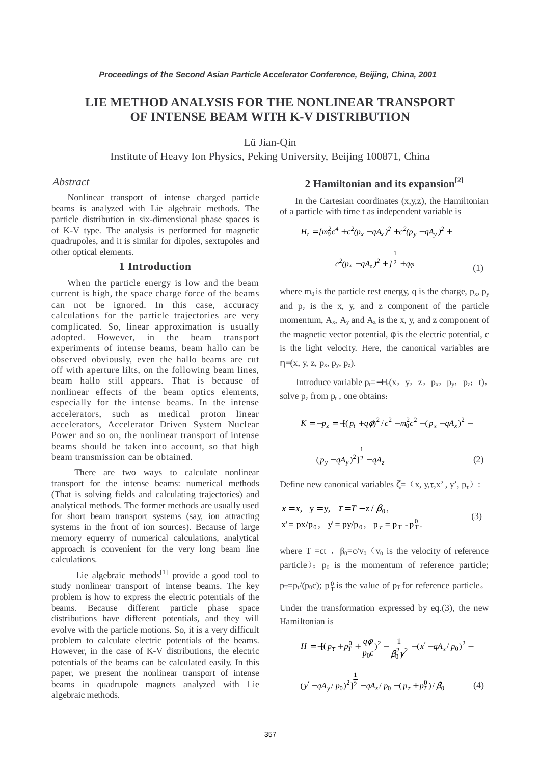# **LIE METHOD ANALYSIS FOR THE NONLINEAR TRANSPORT OF INTENSE BEAM WITH K-V DISTRIBUTION**

Lü Jian-Qin

Institute of Heavy Ion Physics, Peking University, Beijing 100871, China

### *Abstract*

Nonlinear transport of intense charged particle beams is analyzed with Lie algebraic methods. The particle distribution in six-dimensional phase spaces is of K-V type. The analysis is performed for magnetic quadrupoles, and it is similar for dipoles, sextupoles and other optical elements.

### **1 Introduction**

When the particle energy is low and the beam current is high, the space charge force of the beams can not be ignored. In this case, accuracy calculations for the particle trajectories are very complicated. So, linear approximation is usually adopted. However, in the beam transport experiments of intense beams, beam hallo can be observed obviously, even the hallo beams are cut off with aperture lilts, on the following beam lines, beam hallo still appears. That is because of nonlinear effects of the beam optics elements, especially for the intense beams. In the intense accelerators, such as medical proton linear accelerators, Accelerator Driven System Nuclear Power and so on, the nonlinear transport of intense beams should be taken into account, so that high beam transmission can be obtained.

There are two ways to calculate nonlinear transport for the intense beams: numerical methods (That is solving fields and calculating trajectories) and analytical methods. The former methods are usually used for short beam transport systems (say, ion attracting systems in the front of ion sources). Because of large memory equerry of numerical calculations, analytical approach is convenient for the very long beam line calculations.

Lie algebraic methods $[1]$  provide a good tool to study nonlinear transport of intense beams. The key problem is how to express the electric potentials of the beams. Because different particle phase space distributions have different potentials, and they will evolve with the particle motions. So, it is a very difficult problem to calculate electric potentials of the beams. However, in the case of K-V distributions, the electric potentials of the beams can be calculated easily. In this paper, we present the nonlinear transport of intense beams in quadrupole magnets analyzed with Lie algebraic methods.

## **2 Hamiltonian and its expansion[2]**

In the Cartesian coordinates  $(x,y,z)$ , the Hamiltonian of a particle with time t as independent variable is

$$
H_{t} = [m_{0}^{2}c^{4} + c^{2}(p_{x} - qA_{x})^{2} + c^{2}(p_{y} - qA_{y})^{2} + c^{2}(p_{z} - qA_{z})^{2} + j^{2} + q\varphi
$$
\n
$$
(1)
$$

where  $m_0$  is the particle rest energy, q is the charge,  $p_x$ ,  $p_y$ and  $p_z$  is the x, y, and z component of the particle momentum,  $A_x$ ,  $A_y$  and  $A_z$  is the x, y, and z component of the magnetic vector potential,  $φ$  is the electric potential, c is the light velocity. Here, the canonical variables are  $η=(x, y, z, p_x, p_y, p_z).$ 

Introduce variable  $p_t = -H_t(x, y, z, p_x, p_y, p_z; t)$ , solve  $p_7$  from  $p_t$ , one obtains:

$$
K = -p_z = -[(p_t + q\phi)^2/c^2 - m_0^2c^2 - (p_x - qA_x)^2 - (p_y - qA_y)^2] \frac{1}{2} - qA_z
$$
 (2)

Define new canonical variables  $\zeta = (x, y, \tau, x', y', p_\tau)$ :

$$
x = x
$$
,  $y = y$ ,  $\tau = T - z/\beta_0$ ,  
\n $x' = px/p_0$ ,  $y' = py/p_0$ ,  $p_\tau = p_T - p_T^0$ . (3)

where T =ct,  $\beta_0 = c/v_0$  ( $v_0$  is the velocity of reference particle);  $p_0$  is the momentum of reference particle;  $p_T=p_t/(p_0 c)$ ;  $p_T^0$  is the value of  $p_T$  for reference particle.

Under the transformation expressed by eq.(3), the new Hamiltonian is

$$
H = -[(p_{\tau} + p_{T}^{0} + \frac{q\phi}{p_{0}c})^{2} - \frac{1}{\beta_{0}^{2}\gamma^{2}} - (x' - qA_{x}/p_{0})^{2} - (y' - qA_{y}/p_{0})^{2}] \frac{1}{2} - qA_{z}/p_{0} - (p_{\tau} + p_{T}^{0})/\beta_{0}
$$
(4)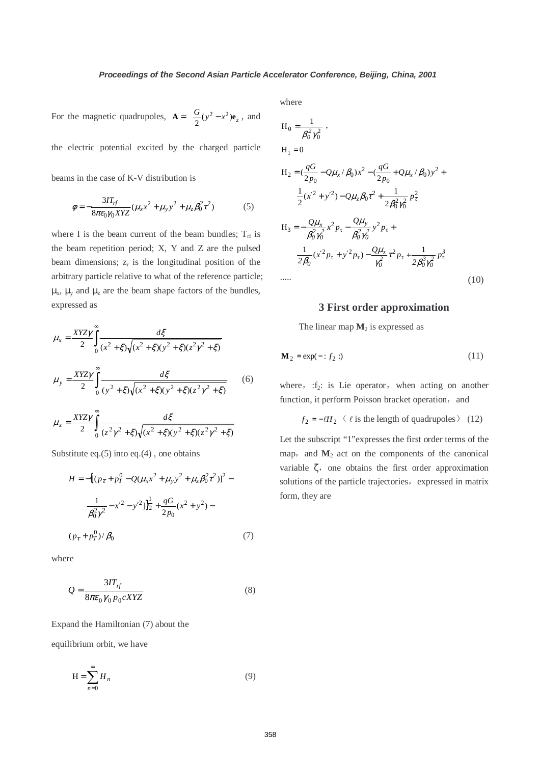For the magnetic quadrupoles,  $\mathbf{A} = \frac{G}{2}(y^2 - x^2)\mathbf{e}_z$ , and

the electric potential excited by the charged particle

beams in the case of K-V distribution is

$$
\phi = -\frac{3IT_{rf}}{8\pi\epsilon_0\gamma_0XYZ}(\mu_x x^2 + \mu_y y^2 + \mu_z \beta_0^2 \tau^2)
$$
(5)

where I is the beam current of the beam bundles;  $T_{\text{rf}}$  is the beam repetition period; X, Y and Z are the pulsed beam dimensions;  $z_r$  is the longitudinal position of the arbitrary particle relative to what of the reference particle;  $\mu_{x}$ ,  $\mu_{y}$  and  $\mu_{z}$  are the beam shape factors of the bundles, expressed as

$$
\mu_x = \frac{XYZ\gamma}{2} \int_0^\infty \frac{d\xi}{(x^2 + \xi)\sqrt{(x^2 + \xi)(y^2 + \xi)(z^2y^2 + \xi)}}
$$

$$
\mu_y = \frac{XYZ\gamma}{2} \int_0^z \frac{d\xi}{(y^2 + \xi)\sqrt{(x^2 + \xi)(y^2 + \xi)(z^2\gamma^2 + \xi)}} \tag{6}
$$

$$
\mu_z = \frac{XYZ\gamma}{2} \int_{0}^{\infty} \frac{d\xi}{(z^2\gamma^2 + \xi)\sqrt{(x^2 + \xi)(y^2 + \xi)(z^2\gamma^2 + \xi)}}
$$

Substitute eq.(5) into eq.(4) , one obtains

$$
H = -\left[ \left( p_{\tau} + p_{T}^{0} - Q(\mu_{x}x^{2} + \mu_{y}y^{2} + \mu_{z}\beta_{0}^{2}\tau^{2}) \right)^{2} - \frac{1}{\beta_{0}^{2}\gamma^{2}} - x'^{2} - y'^{2} \right]_{2}^{\frac{1}{2}} + \frac{qG}{2p_{0}}(x^{2} + y^{2}) -
$$
  

$$
(p_{\tau} + p_{T}^{0})/\beta_{0}
$$
 (7)

where

$$
Q = \frac{3IT_{rf}}{8\pi\epsilon_0 \gamma_0 p_0 cXYZ} \tag{8}
$$

Expand the Hamiltonian (7) about the

equilibrium orbit, we have

$$
H = \sum_{n=0}^{\infty} H_n \tag{9}
$$

where

$$
H_0 = \frac{1}{\beta_0^2 \gamma_0^2},
$$
  
\n
$$
H_1 = 0
$$
  
\n
$$
H_2 = (\frac{qG}{2p_0} - Q\mu_x/\beta_0)x^2 - (\frac{qG}{2p_0} + Q\mu_x/\beta_0)y^2 +
$$
  
\n
$$
\frac{1}{2}(x'^2 + y'^2) - Q\mu_z\beta_0\tau^2 + \frac{1}{2\beta_0^2\gamma_0^2}p_\tau^2
$$

$$
H_3 = -\frac{Q\mu_x}{\beta_0^2 \gamma_0^2} x^2 p_\tau - \frac{Q\mu_y}{\beta_0^2 \gamma_0^2} y^2 p_\tau +
$$
  

$$
\frac{1}{2\beta_0} (x'^2 p_\tau + y'^2 p_\tau) - \frac{Q\mu_z}{\gamma_0^2} \tau^2 p_\tau + \frac{1}{2\beta_0^3 \gamma_0^2} p_\tau^3
$$
  
...... (10)

 $6^{2}$  $\gamma_{0}^{2}$ 

#### **3 First order approximation**

The linear map  $M_2$  is expressed as

$$
\mathbf{M}_2 = \exp(-\div f_2:)
$$
 (11)

where,  $:f_2$ : is Lie operator, when acting on another function, it perform Poisson bracket operation, and

$$
f_2 = -\ell H_2 \quad (\ell \text{ is the length of quadrupoles}) \quad (12)
$$

Let the subscript "1"expresses the first order terms of the map, and  $M_2$  act on the components of the canonical variable  $\zeta$ , one obtains the first order approximation solutions of the particle trajectories, expressed in matrix form, they are